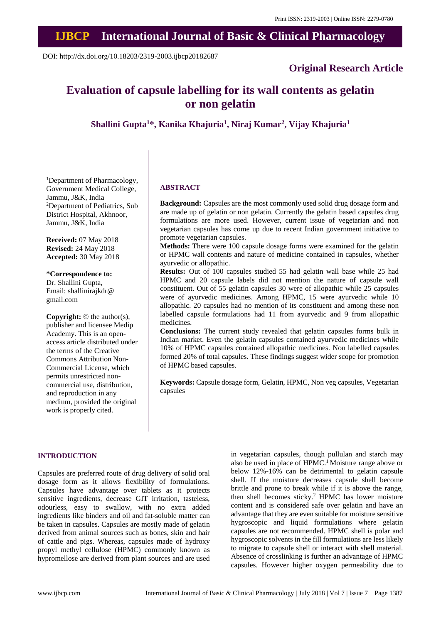# **IJBCP International Journal of Basic & Clinical Pharmacology**

DOI: http://dx.doi.org/10.18203/2319-2003.ijbcp20182687

# **Original Research Article**

# **Evaluation of capsule labelling for its wall contents as gelatin or non gelatin**

**Shallini Gupta<sup>1</sup>\*, Kanika Khajuria<sup>1</sup> , Niraj Kumar<sup>2</sup> , Vijay Khajuria<sup>1</sup>**

<sup>1</sup>Department of Pharmacology, Government Medical College, Jammu, J&K, India <sup>2</sup>Department of Pediatrics, Sub District Hospital, Akhnoor, Jammu, J&K, India

**Received:** 07 May 2018 **Revised:** 24 May 2018 **Accepted:** 30 May 2018

**\*Correspondence to:** Dr. Shallini Gupta, Email: shallinirajkdr@ gmail.com

**Copyright:** © the author(s), publisher and licensee Medip Academy. This is an openaccess article distributed under the terms of the Creative Commons Attribution Non-Commercial License, which permits unrestricted noncommercial use, distribution, and reproduction in any medium, provided the original work is properly cited.

#### **ABSTRACT**

**Background:** Capsules are the most commonly used solid drug dosage form and are made up of gelatin or non gelatin. Currently the gelatin based capsules drug formulations are more used. However, current issue of vegetarian and non vegetarian capsules has come up due to recent Indian government initiative to promote vegetarian capsules.

**Methods:** There were 100 capsule dosage forms were examined for the gelatin or HPMC wall contents and nature of medicine contained in capsules, whether ayurvedic or allopathic.

**Results:** Out of 100 capsules studied 55 had gelatin wall base while 25 had HPMC and 20 capsule labels did not mention the nature of capsule wall constituent. Out of 55 gelatin capsules 30 were of allopathic while 25 capsules were of ayurvedic medicines. Among HPMC, 15 were ayurvedic while 10 allopathic. 20 capsules had no mention of its constituent and among these non labelled capsule formulations had 11 from ayurvedic and 9 from allopathic medicines.

**Conclusions:** The current study revealed that gelatin capsules forms bulk in Indian market. Even the gelatin capsules contained ayurvedic medicines while 10% of HPMC capsules contained allopathic medicines. Non labelled capsules formed 20% of total capsules. These findings suggest wider scope for promotion of HPMC based capsules.

**Keywords:** Capsule dosage form, Gelatin, HPMC, Non veg capsules, Vegetarian capsules

#### **INTRODUCTION**

Capsules are preferred route of drug delivery of solid oral dosage form as it allows flexibility of formulations. Capsules have advantage over tablets as it protects sensitive ingredients, decrease GIT irritation, tasteless, odourless, easy to swallow, with no extra added ingredients like binders and oil and fat-soluble matter can be taken in capsules. Capsules are mostly made of gelatin derived from animal sources such as bones, skin and hair of cattle and pigs. Whereas, capsules made of hydroxy propyl methyl cellulose (HPMC) commonly known as hypromellose are derived from plant sources and are used in vegetarian capsules, though pullulan and starch may also be used in place of HPMC. <sup>1</sup> Moisture range above or below 12%-16% can be detrimental to gelatin capsule shell. If the moisture decreases capsule shell become brittle and prone to break while if it is above the range, then shell becomes sticky. <sup>2</sup> HPMC has lower moisture content and is considered safe over gelatin and have an advantage that they are even suitable for moisture sensitive hygroscopic and liquid formulations where gelatin capsules are not recommended. HPMC shell is polar and hygroscopic solvents in the fill formulations are less likely to migrate to capsule shell or interact with shell material. Absence of crosslinking is further an advantage of HPMC capsules. However higher oxygen permeability due to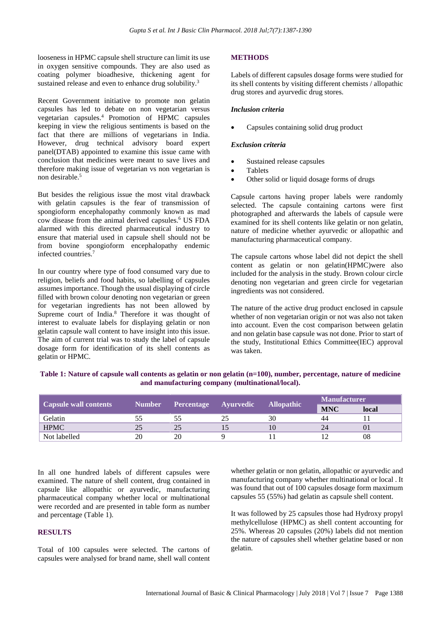looseness in HPMC capsule shell structure can limit its use in oxygen sensitive compounds. They are also used as coating polymer bioadhesive, thickening agent for sustained release and even to enhance drug solubility.<sup>3</sup>

Recent Government initiative to promote non gelatin capsules has led to debate on non vegetarian versus vegetarian capsules. <sup>4</sup> Promotion of HPMC capsules keeping in view the religious sentiments is based on the fact that there are millions of vegetarians in India. However, drug technical advisory board expert panel(DTAB) appointed to examine this issue came with conclusion that medicines were meant to save lives and therefore making issue of vegetarian vs non vegetarian is non desirable. 5

But besides the religious issue the most vital drawback with gelatin capsules is the fear of transmission of spongioform encephalopathy commonly known as mad cow disease from the animal derived capsules. <sup>6</sup> US FDA alarmed with this directed pharmaceutical industry to ensure that material used in capsule shell should not be from bovine spongioform encephalopathy endemic infected countries. 7

In our country where type of food consumed vary due to religion, beliefs and food habits, so labelling of capsules assumes importance. Though the usual displaying of circle filled with brown colour denoting non vegetarian or green for vegetarian ingredients has not been allowed by Supreme court of India. <sup>8</sup> Therefore it was thought of interest to evaluate labels for displaying gelatin or non gelatin capsule wall content to have insight into this issue. The aim of current trial was to study the label of capsule dosage form for identification of its shell contents as gelatin or HPMC.

## **METHODS**

Labels of different capsules dosage forms were studied for its shell contents by visiting different chemists / allopathic drug stores and ayurvedic drug stores.

#### *Inclusion criteria*

• Capsules containing solid drug product

#### *Exclusion criteria*

- Sustained release capsules
- **Tablets**
- Other solid or liquid dosage forms of drugs

Capsule cartons having proper labels were randomly selected. The capsule containing cartons were first photographed and afterwards the labels of capsule were examined for its shell contents like gelatin or non gelatin, nature of medicine whether ayurvedic or allopathic and manufacturing pharmaceutical company.

The capsule cartons whose label did not depict the shell content as gelatin or non gelatin(HPMC)were also included for the analysis in the study. Brown colour circle denoting non vegetarian and green circle for vegetarian ingredients was not considered.

The nature of the active drug product enclosed in capsule whether of non vegetarian origin or not was also not taken into account. Even the cost comparison between gelatin and non gelatin base capsule was not done. Prior to start of the study, Institutional Ethics Committee(IEC) approval was taken.

| <u>and a monday and the second contract of the second second and second and second and second and second and second</u> |  |                             |  |                   |                     |       |
|-------------------------------------------------------------------------------------------------------------------------|--|-----------------------------|--|-------------------|---------------------|-------|
| Capsule wall contents                                                                                                   |  | Number Percentage Ayurvedic |  | <b>Allopathic</b> | <b>Manufacturer</b> |       |
|                                                                                                                         |  |                             |  |                   | <b>MNC</b>          | local |
| Gelatin                                                                                                                 |  |                             |  | 30                | ΔΔ                  |       |

HPMC 25 25 25 15 10 24 01 Not labelled 20 20 9 11 12 08

Table 1: Nature of capsule wall contents as gelatin or non gelatin  $(n=100)$ , number, percentage, nature of medicine **and manufacturing company (multinational/local).**

In all one hundred labels of different capsules were examined. The nature of shell content, drug contained in capsule like allopathic or ayurvedic, manufacturing pharmaceutical company whether local or multinational were recorded and are presented in table form as number and percentage (Table 1).

# **RESULTS**

Total of 100 capsules were selected. The cartons of capsules were analysed for brand name, shell wall content whether gelatin or non gelatin, allopathic or ayurvedic and manufacturing company whether multinational or local . It was found that out of 100 capsules dosage form maximum capsules 55 (55%) had gelatin as capsule shell content.

It was followed by 25 capsules those had Hydroxy propyl methylcellulose (HPMC) as shell content accounting for 25%. Whereas 20 capsules (20%) labels did not mention the nature of capsules shell whether gelatine based or non gelatin.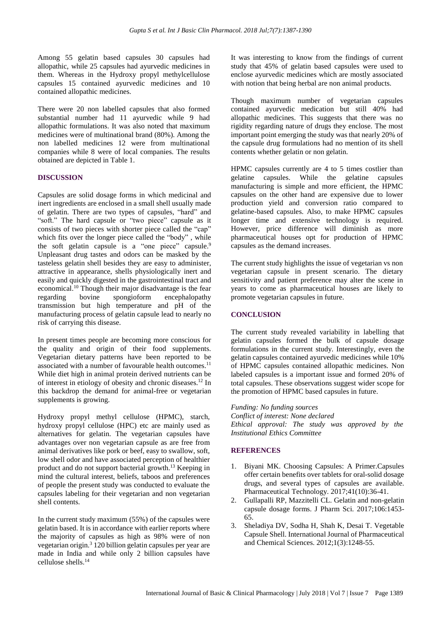Among 55 gelatin based capsules 30 capsules had allopathic, while 25 capsules had ayurvedic medicines in them. Whereas in the Hydroxy propyl methylcellulose capsules 15 contained ayurvedic medicines and 10 contained allopathic medicines.

There were 20 non labelled capsules that also formed substantial number had 11 ayurvedic while 9 had allopathic formulations. It was also noted that maximum medicines were of multinational brand (80%). Among the non labelled medicines 12 were from multinational companies while 8 were of local companies. The results obtained are depicted in Table 1.

### **DISCUSSION**

Capsules are solid dosage forms in which medicinal and inert ingredients are enclosed in a small shell usually made of gelatin. There are two types of capsules, "hard" and "soft." The hard capsule or "two piece" capsule as it consists of two pieces with shorter piece called the "cap" which fits over the longer piece called the "body" , while the soft gelatin capsule is a "one piece" capsule. 9 Unpleasant drug tastes and odors can be masked by the tasteless gelatin shell besides they are easy to administer, attractive in appearance, shells physiologically inert and easily and quickly digested in the gastrointestinal tract and economical. <sup>10</sup> Though their major disadvantage is the fear regarding bovine spongioform encephalopathy transmission but high temperature and pH of the manufacturing process of gelatin capsule lead to nearly no risk of carrying this disease.

In present times people are becoming more conscious for the quality and origin of their food supplements. Vegetarian dietary patterns have been reported to be associated with a number of favourable health outcomes. 11 While diet high in animal protein derived nutrients can be of interest in etiology of obesity and chronic diseases. <sup>12</sup> In this backdrop the demand for animal-free or vegetarian supplements is growing.

Hydroxy propyl methyl cellulose (HPMC), starch, hydroxy propyl cellulose (HPC) etc are mainly used as alternatives for gelatin. The vegetarian capsules have advantages over non vegetarian capsule as are free from animal derivatives like pork or beef, easy to swallow, soft, low shell odor and have associated perception of healthier product and do not support bacterial growth. <sup>13</sup> Keeping in mind the cultural interest, beliefs, taboos and preferences of people the present study was conducted to evaluate the capsules labeling for their vegetarian and non vegetarian shell contents.

In the current study maximum (55%) of the capsules were gelatin based. It is in accordance with earlier reports where the majority of capsules as high as 98% were of non vegetarian origin.<sup>3</sup> 120 billion gelatin capsules per year are made in India and while only 2 billion capsules have cellulose shells. 14

It was interesting to know from the findings of current study that 45% of gelatin based capsules were used to enclose ayurvedic medicines which are mostly associated with notion that being herbal are non animal products.

Though maximum number of vegetarian capsules contained ayurvedic medication but still 40% had allopathic medicines. This suggests that there was no rigidity regarding nature of drugs they enclose. The most important point emerging the study was that nearly 20% of the capsule drug formulations had no mention of its shell contents whether gelatin or non gelatin.

HPMC capsules currently are 4 to 5 times costlier than gelatine capsules. While the gelatine capsules manufacturing is simple and more efficient, the HPMC capsules on the other hand are expensive due to lower production yield and conversion ratio compared to gelatine-based capsules. Also, to make HPMC capsules longer time and extensive technology is required. However, price difference will diminish as more pharmaceutical houses opt for production of HPMC capsules as the demand increases.

The current study highlights the issue of vegetarian vs non vegetarian capsule in present scenario. The dietary sensitivity and patient preference may alter the scene in years to come as pharmaceutical houses are likely to promote vegetarian capsules in future.

### **CONCLUSION**

The current study revealed variability in labelling that gelatin capsules formed the bulk of capsule dosage formulations in the current study. Interestingly, even the gelatin capsules contained ayurvedic medicines while 10% of HPMC capsules contained allopathic medicines. Non labeled capsules is a important issue and formed 20% of total capsules. These observations suggest wider scope for the promotion of HPMC based capsules in future.

#### *Funding: No funding sources*

*Conflict of interest: None declared Ethical approval: The study was approved by the Institutional Ethics Committee*

#### **REFERENCES**

- 1. Biyani MK. Choosing Capsules: A Primer.Capsules offer certain benefits over tablets for oral-solid dosage drugs, and several types of capsules are available. Pharmaceutical Technology. 2017;41(10):36-41.
- 2. Gullapalli RP, Mazzitelli CL. Gelatin and non-gelatin capsule dosage forms. J Pharm Sci. 2017;106:1453- 65.
- 3. Sheladiya DV, Sodha H, Shah K, Desai T. Vegetable Capsule Shell. International Journal of Pharmaceutical and Chemical Sciences. 2012;1(3):1248-55.